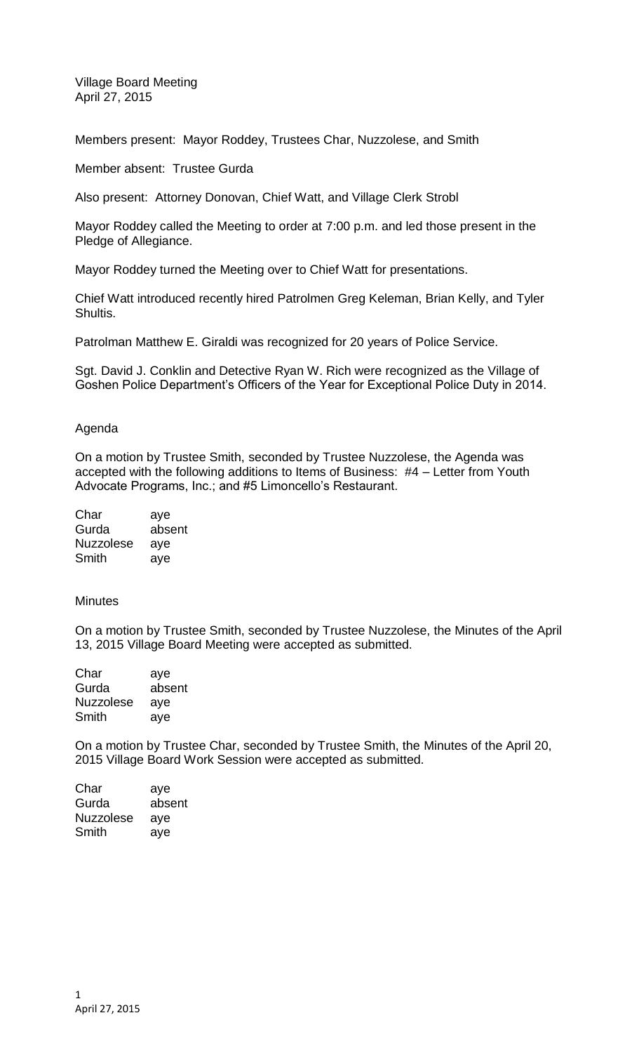Village Board Meeting April 27, 2015

Members present: Mayor Roddey, Trustees Char, Nuzzolese, and Smith

Member absent: Trustee Gurda

Also present: Attorney Donovan, Chief Watt, and Village Clerk Strobl

Mayor Roddey called the Meeting to order at 7:00 p.m. and led those present in the Pledge of Allegiance.

Mayor Roddey turned the Meeting over to Chief Watt for presentations.

Chief Watt introduced recently hired Patrolmen Greg Keleman, Brian Kelly, and Tyler Shultis.

Patrolman Matthew E. Giraldi was recognized for 20 years of Police Service.

Sgt. David J. Conklin and Detective Ryan W. Rich were recognized as the Village of Goshen Police Department's Officers of the Year for Exceptional Police Duty in 2014.

## Agenda

On a motion by Trustee Smith, seconded by Trustee Nuzzolese, the Agenda was accepted with the following additions to Items of Business: #4 – Letter from Youth Advocate Programs, Inc.; and #5 Limoncello's Restaurant.

| Char             | aye    |
|------------------|--------|
| Gurda            | absent |
| <b>Nuzzolese</b> | aye    |
| Smith            | aye    |

## **Minutes**

On a motion by Trustee Smith, seconded by Trustee Nuzzolese, the Minutes of the April 13, 2015 Village Board Meeting were accepted as submitted.

| Char             | aye    |
|------------------|--------|
| Gurda            | absent |
| <b>Nuzzolese</b> | aye    |
| Smith            | aye    |

On a motion by Trustee Char, seconded by Trustee Smith, the Minutes of the April 20, 2015 Village Board Work Session were accepted as submitted.

| Char             | aye    |
|------------------|--------|
| Gurda            | absent |
| <b>Nuzzolese</b> | aye    |
| Smith            | aye    |
|                  |        |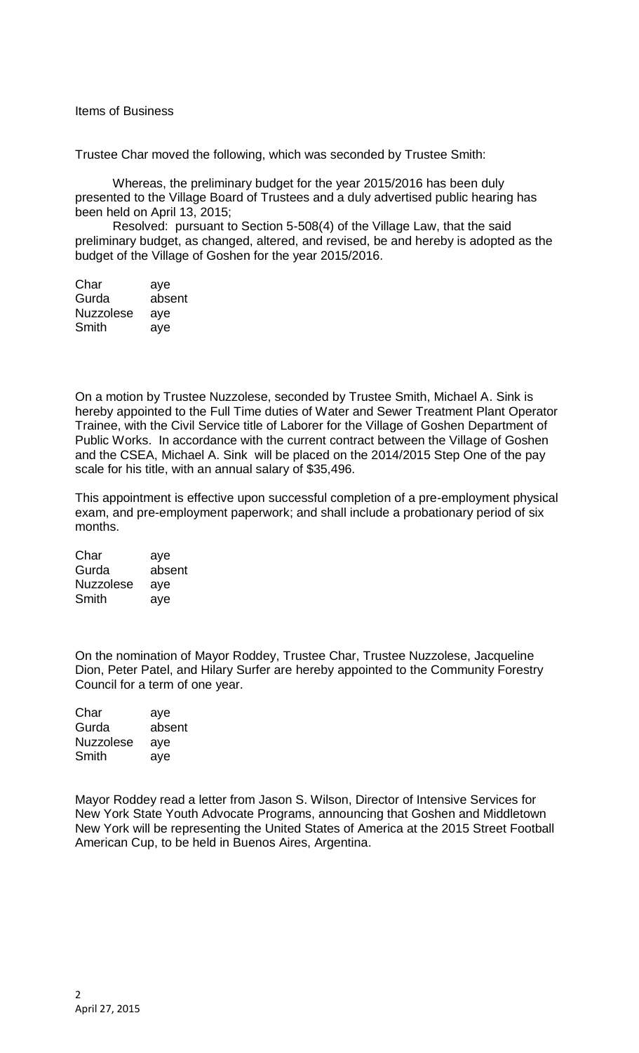Items of Business

Trustee Char moved the following, which was seconded by Trustee Smith:

Whereas, the preliminary budget for the year 2015/2016 has been duly presented to the Village Board of Trustees and a duly advertised public hearing has been held on April 13, 2015;

Resolved: pursuant to Section 5-508(4) of the Village Law, that the said preliminary budget, as changed, altered, and revised, be and hereby is adopted as the budget of the Village of Goshen for the year 2015/2016.

| Char             | aye    |
|------------------|--------|
| Gurda            | absent |
| <b>Nuzzolese</b> | aye    |
| Smith            | aye    |

On a motion by Trustee Nuzzolese, seconded by Trustee Smith, Michael A. Sink is hereby appointed to the Full Time duties of Water and Sewer Treatment Plant Operator Trainee, with the Civil Service title of Laborer for the Village of Goshen Department of Public Works. In accordance with the current contract between the Village of Goshen and the CSEA, Michael A. Sink will be placed on the 2014/2015 Step One of the pay scale for his title, with an annual salary of \$35,496.

This appointment is effective upon successful completion of a pre-employment physical exam, and pre-employment paperwork; and shall include a probationary period of six months.

| Char             | aye    |
|------------------|--------|
| Gurda            | absent |
| <b>Nuzzolese</b> | aye    |
| Smith            | aye    |

On the nomination of Mayor Roddey, Trustee Char, Trustee Nuzzolese, Jacqueline Dion, Peter Patel, and Hilary Surfer are hereby appointed to the Community Forestry Council for a term of one year.

Char aye Gurda absent Nuzzolese aye Smith aye

Mayor Roddey read a letter from Jason S. Wilson, Director of Intensive Services for New York State Youth Advocate Programs, announcing that Goshen and Middletown New York will be representing the United States of America at the 2015 Street Football American Cup, to be held in Buenos Aires, Argentina.